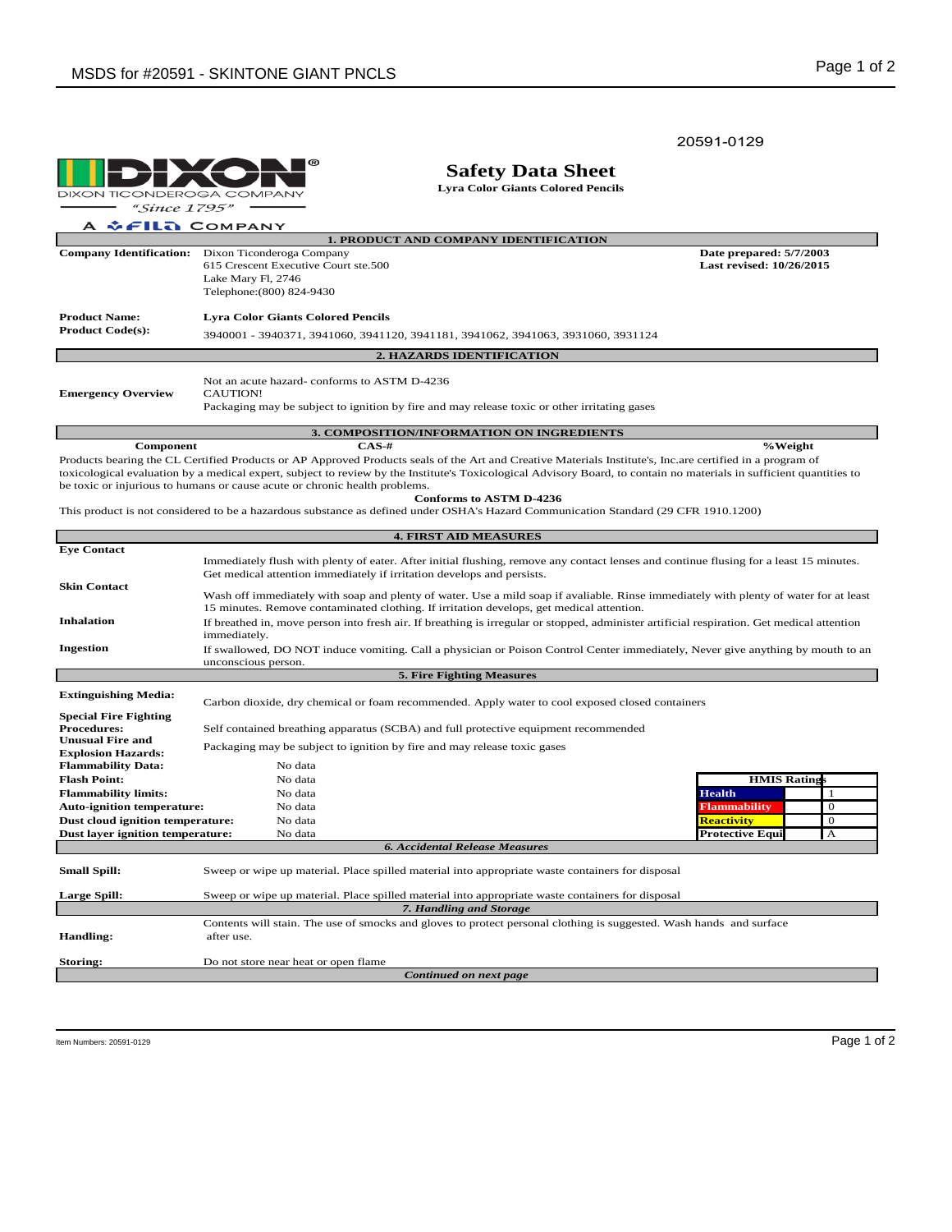20591-0129

൫ **DIXON TICONDEROGA** COMPANY

**Safety Data Sheet**

**Lyra Color Giants Colored Pencils**

"Since 1795"  $\lambda$  $E = 112$  COMPANY

| A VEILLE COMFANT                                 |                                                                                              |                                                     |  |  |  |  |  |
|--------------------------------------------------|----------------------------------------------------------------------------------------------|-----------------------------------------------------|--|--|--|--|--|
| <b>1. PRODUCT AND COMPANY IDENTIFICATION</b>     |                                                                                              |                                                     |  |  |  |  |  |
| <b>Company Identification:</b>                   | Dixon Ticonderoga Company                                                                    | Date prepared: 5/7/2003<br>Last revised: 10/26/2015 |  |  |  |  |  |
|                                                  | 615 Crescent Executive Court ste.500                                                         |                                                     |  |  |  |  |  |
|                                                  | Lake Mary Fl, 2746                                                                           |                                                     |  |  |  |  |  |
|                                                  | Telephone: (800) 824-9430                                                                    |                                                     |  |  |  |  |  |
| <b>Product Name:</b><br><b>Product Code(s):</b>  | <b>Lyra Color Giants Colored Pencils</b>                                                     |                                                     |  |  |  |  |  |
|                                                  | 3940001 - 3940371, 3941060, 3941120, 3941181, 3941062, 3941063, 3931060, 3931124             |                                                     |  |  |  |  |  |
| <b>2. HAZARDS IDENTIFICATION</b>                 |                                                                                              |                                                     |  |  |  |  |  |
| <b>Emergency Overview</b>                        | Not an acute hazard-conforms to ASTM D-4236<br><b>CAUTION!</b>                               |                                                     |  |  |  |  |  |
|                                                  | Packaging may be subject to ignition by fire and may release toxic or other irritating gases |                                                     |  |  |  |  |  |
| <b>3. COMPOSITION/INFORMATION ON INGREDIENTS</b> |                                                                                              |                                                     |  |  |  |  |  |

**Component %Weight CAS-#** Products bearing the CL Certified Products or AP Approved Products seals of the Art and Creative Materials Institute's, Inc.are certified in a program of toxicological evaluation by a medical expert, subject to review by the Institute's Toxicological Advisory Board, to contain no materials in sufficient quantities to be toxic or injurious to humans or cause acute or chronic health problems. **Conforms to ASTM D-4236**

This product is not considered to be a hazardous substance as defined under OSHA's Hazard Communication Standard (29 CFR 1910.1200)

| <b>4. FIRST AID MEASURES</b>                         |                                                                                                                                                                                                                                   |                                                                                                                     |                        |              |  |  |  |  |
|------------------------------------------------------|-----------------------------------------------------------------------------------------------------------------------------------------------------------------------------------------------------------------------------------|---------------------------------------------------------------------------------------------------------------------|------------------------|--------------|--|--|--|--|
| <b>Eye Contact</b>                                   |                                                                                                                                                                                                                                   |                                                                                                                     |                        |              |  |  |  |  |
|                                                      | Immediately flush with plenty of eater. After initial flushing, remove any contact lenses and continue flusing for a least 15 minutes.                                                                                            |                                                                                                                     |                        |              |  |  |  |  |
|                                                      | Get medical attention immediately if irritation develops and persists.                                                                                                                                                            |                                                                                                                     |                        |              |  |  |  |  |
| <b>Skin Contact</b>                                  |                                                                                                                                                                                                                                   |                                                                                                                     |                        |              |  |  |  |  |
|                                                      | Wash off immediately with soap and plenty of water. Use a mild soap if avaliable. Rinse immediately with plenty of water for at least<br>15 minutes. Remove contaminated clothing. If irritation develops, get medical attention. |                                                                                                                     |                        |              |  |  |  |  |
| <b>Inhalation</b>                                    | If breathed in, move person into fresh air. If breathing is irregular or stopped, administer artificial respiration. Get medical attention                                                                                        |                                                                                                                     |                        |              |  |  |  |  |
|                                                      | immediately.                                                                                                                                                                                                                      |                                                                                                                     |                        |              |  |  |  |  |
| Ingestion                                            | If swallowed, DO NOT induce vomiting. Call a physician or Poison Control Center immediately, Never give anything by mouth to an                                                                                                   |                                                                                                                     |                        |              |  |  |  |  |
|                                                      | unconscious person.                                                                                                                                                                                                               |                                                                                                                     |                        |              |  |  |  |  |
| <b>5. Fire Fighting Measures</b>                     |                                                                                                                                                                                                                                   |                                                                                                                     |                        |              |  |  |  |  |
| <b>Extinguishing Media:</b>                          |                                                                                                                                                                                                                                   |                                                                                                                     |                        |              |  |  |  |  |
|                                                      |                                                                                                                                                                                                                                   | Carbon dioxide, dry chemical or foam recommended. Apply water to cool exposed closed containers                     |                        |              |  |  |  |  |
| <b>Special Fire Fighting</b>                         |                                                                                                                                                                                                                                   |                                                                                                                     |                        |              |  |  |  |  |
| <b>Procedures:</b>                                   |                                                                                                                                                                                                                                   | Self contained breathing apparatus (SCBA) and full protective equipment recommended                                 |                        |              |  |  |  |  |
| <b>Unusual Fire and</b><br><b>Explosion Hazards:</b> | Packaging may be subject to ignition by fire and may release toxic gases                                                                                                                                                          |                                                                                                                     |                        |              |  |  |  |  |
| <b>Flammability Data:</b>                            |                                                                                                                                                                                                                                   | No data                                                                                                             |                        |              |  |  |  |  |
| <b>Flash Point:</b>                                  |                                                                                                                                                                                                                                   | No data                                                                                                             | <b>HMIS Ratings</b>    |              |  |  |  |  |
| <b>Flammability limits:</b>                          |                                                                                                                                                                                                                                   | No data                                                                                                             | <b>Health</b>          | $\mathbf{1}$ |  |  |  |  |
| <b>Auto-ignition temperature:</b>                    |                                                                                                                                                                                                                                   | No data                                                                                                             | <b>Flammability</b>    | $\mathbf{0}$ |  |  |  |  |
| Dust cloud ignition temperature:                     |                                                                                                                                                                                                                                   | No data                                                                                                             | Reactivity             | $\theta$     |  |  |  |  |
| Dust layer ignition temperature:                     |                                                                                                                                                                                                                                   | No data                                                                                                             | <b>Protective Equi</b> | $\mathbf{A}$ |  |  |  |  |
|                                                      |                                                                                                                                                                                                                                   | <b>6. Accidental Release Measures</b>                                                                               |                        |              |  |  |  |  |
|                                                      |                                                                                                                                                                                                                                   |                                                                                                                     |                        |              |  |  |  |  |
| <b>Small Spill:</b>                                  |                                                                                                                                                                                                                                   | Sweep or wipe up material. Place spilled material into appropriate waste containers for disposal                    |                        |              |  |  |  |  |
| <b>Large Spill:</b>                                  |                                                                                                                                                                                                                                   | Sweep or wipe up material. Place spilled material into appropriate waste containers for disposal                    |                        |              |  |  |  |  |
|                                                      |                                                                                                                                                                                                                                   | 7. Handling and Storage                                                                                             |                        |              |  |  |  |  |
|                                                      |                                                                                                                                                                                                                                   | Contents will stain. The use of smocks and gloves to protect personal clothing is suggested. Wash hands and surface |                        |              |  |  |  |  |
| <b>Handling:</b>                                     | after use.                                                                                                                                                                                                                        |                                                                                                                     |                        |              |  |  |  |  |
|                                                      |                                                                                                                                                                                                                                   |                                                                                                                     |                        |              |  |  |  |  |
| Storing:                                             |                                                                                                                                                                                                                                   | Do not store near heat or open flame                                                                                |                        |              |  |  |  |  |
| Continued on next page                               |                                                                                                                                                                                                                                   |                                                                                                                     |                        |              |  |  |  |  |